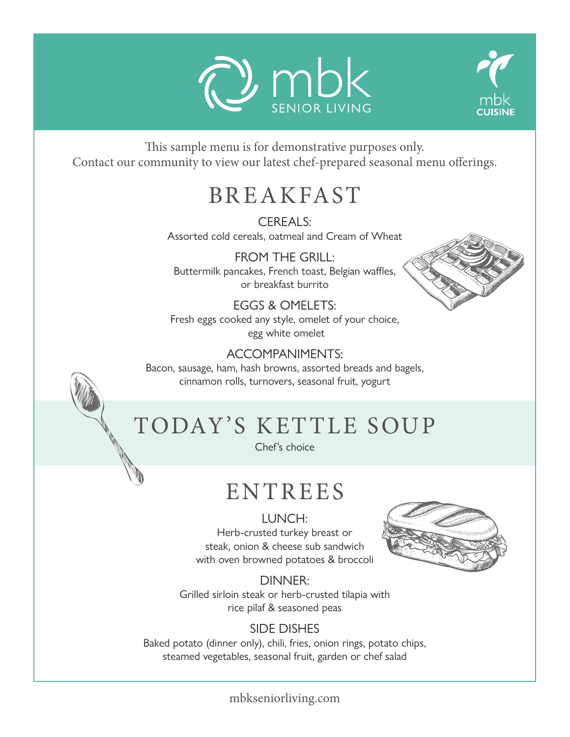



This sample menu is for demonstrative purposes only. Contact our community to view our latest chef-prepared seasonal menu offerings.

### BREAKFAST

CFREALS: Assorted cold cereals, oatmeal and Cream of Wheat

FROM THE GRILL: Buttermilk pancakes, French toast, Belgian waffles, or breakfast burrito

EGGS & OMELETS: Fresh eggs cooked any style, omelet of your choice, egg white omelet

### :ACCOMPANIMENTS

Bacon, sausage, ham, hash browns, assorted breads and bagels, cinnamon rolls, turnovers, seasonal fruit, yogurt

# TODAY'S KETTLE SOUP

Chef's choice

# ENTREES

LUNCH: Herb-crusted turkey breast or steak, onion & cheese sub sandwich with oven browned potatoes & broccoli



:DINNER Grilled sirloin steak or herb-crusted tilapia with rice pilaf & seasoned peas

### **SIDE DISHES**

Baked potato (dinner only), chili, fries, onion rings, potato chips, steamed vegetables, seasonal fruit, garden or chef salad

mbkseniorliving.com